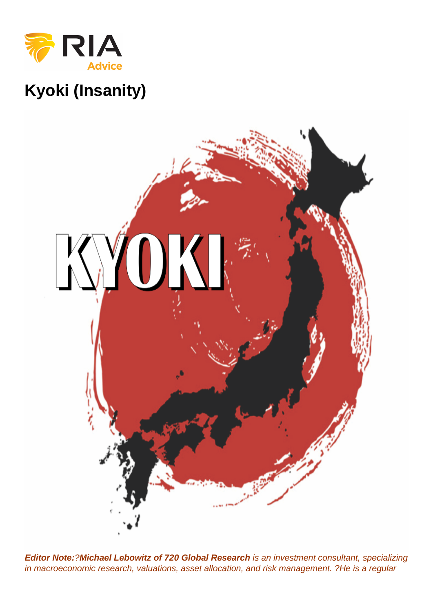Kyoki (Insanity)

Editor Note: ?Michael Lebowitz of 720 Global Research is an investment consultant, specializing in macroeconomic research, valuations, asset allocation, and risk management. ?He is a regular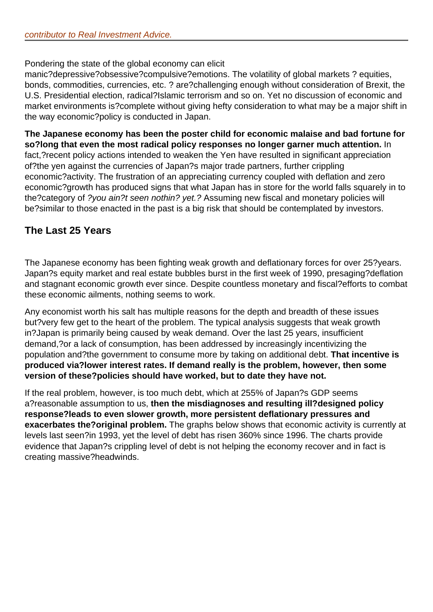Pondering the state of the global economy can elicit

manic?depressive?obsessive?compulsive?emotions. The volatility of global markets ? equities, bonds, commodities, currencies, etc. ? are?challenging enough without consideration of Brexit, the U.S. Presidential election, radical?Islamic terrorism and so on. Yet no discussion of economic and market environments is?complete without giving hefty consideration to what may be a major shift in the way economic?policy is conducted in Japan.

**The Japanese economy has been the poster child for economic malaise and bad fortune for so?long that even the most radical policy responses no longer garner much attention.** In fact,?recent policy actions intended to weaken the Yen have resulted in significant appreciation of?the yen against the currencies of Japan?s major trade partners, further crippling economic?activity. The frustration of an appreciating currency coupled with deflation and zero economic?growth has produced signs that what Japan has in store for the world falls squarely in to the?category of ?you ain?t seen nothin? yet.? Assuming new fiscal and monetary policies will be?similar to those enacted in the past is a big risk that should be contemplated by investors.

## **The Last 25 Years**

The Japanese economy has been fighting weak growth and deflationary forces for over 25?years. Japan?s equity market and real estate bubbles burst in the first week of 1990, presaging?deflation and stagnant economic growth ever since. Despite countless monetary and fiscal?efforts to combat these economic ailments, nothing seems to work.

Any economist worth his salt has multiple reasons for the depth and breadth of these issues but?very few get to the heart of the problem. The typical analysis suggests that weak growth in?Japan is primarily being caused by weak demand. Over the last 25 years, insufficient demand,?or a lack of consumption, has been addressed by increasingly incentivizing the population and?the government to consume more by taking on additional debt. **That incentive is produced via?lower interest rates. If demand really is the problem, however, then some version of these?policies should have worked, but to date they have not.**

If the real problem, however, is too much debt, which at 255% of Japan?s GDP seems a?reasonable assumption to us, **then the misdiagnoses and resulting ill?designed policy response?leads to even slower growth, more persistent deflationary pressures and exacerbates the?original problem.** The graphs below shows that economic activity is currently at levels last seen?in 1993, yet the level of debt has risen 360% since 1996. The charts provide evidence that Japan?s crippling level of debt is not helping the economy recover and in fact is creating massive?headwinds.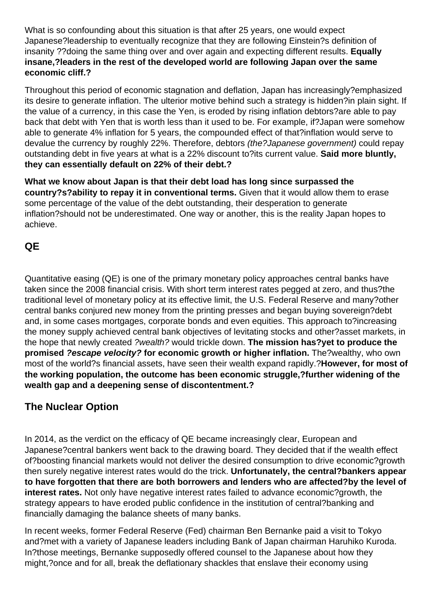What is so confounding about this situation is that after 25 years, one would expect Japanese?leadership to eventually recognize that they are following Einstein?s definition of insanity ??doing the same thing over and over again and expecting different results. **Equally insane,?leaders in the rest of the developed world are following Japan over the same economic cliff.?**

Throughout this period of economic stagnation and deflation, Japan has increasingly?emphasized its desire to generate inflation. The ulterior motive behind such a strategy is hidden?in plain sight. If the value of a currency, in this case the Yen, is eroded by rising inflation debtors?are able to pay back that debt with Yen that is worth less than it used to be. For example, if?Japan were somehow able to generate 4% inflation for 5 years, the compounded effect of that?inflation would serve to devalue the currency by roughly 22%. Therefore, debtors *(the?Japanese government)* could repay outstanding debt in five years at what is a 22% discount to?its current value. **Said more bluntly, they can essentially default on 22% of their debt.?**

**What we know about Japan is that their debt load has long since surpassed the country?s?ability to repay it in conventional terms.** Given that it would allow them to erase some percentage of the value of the debt outstanding, their desperation to generate inflation?should not be underestimated. One way or another, this is the reality Japan hopes to achieve.

## **QE**

Quantitative easing (QE) is one of the primary monetary policy approaches central banks have taken since the 2008 financial crisis. With short term interest rates pegged at zero, and thus?the traditional level of monetary policy at its effective limit, the U.S. Federal Reserve and many?other central banks conjured new money from the printing presses and began buying sovereign?debt and, in some cases mortgages, corporate bonds and even equities. This approach to?increasing the money supply achieved central bank objectives of levitating stocks and other?asset markets, in the hope that newly created ?wealth? would trickle down. **The mission has?yet to produce the promised ?escape velocity? for economic growth or higher inflation.** The?wealthy, who own most of the world?s financial assets, have seen their wealth expand rapidly.?**However, for most of the working population, the outcome has been economic struggle,?further widening of the wealth gap and a deepening sense of discontentment.?**

# **The Nuclear Option**

In 2014, as the verdict on the efficacy of QE became increasingly clear, European and Japanese?central bankers went back to the drawing board. They decided that if the wealth effect of?boosting financial markets would not deliver the desired consumption to drive economic?growth then surely negative interest rates would do the trick. **Unfortunately, the central?bankers appear to have forgotten that there are both borrowers and lenders who are affected?by the level of interest rates.** Not only have negative interest rates failed to advance economic?growth, the strategy appears to have eroded public confidence in the institution of central?banking and financially damaging the balance sheets of many banks.

In recent weeks, former Federal Reserve (Fed) chairman Ben Bernanke paid a visit to Tokyo and?met with a variety of Japanese leaders including Bank of Japan chairman Haruhiko Kuroda. In?those meetings, Bernanke supposedly offered counsel to the Japanese about how they might,?once and for all, break the deflationary shackles that enslave their economy using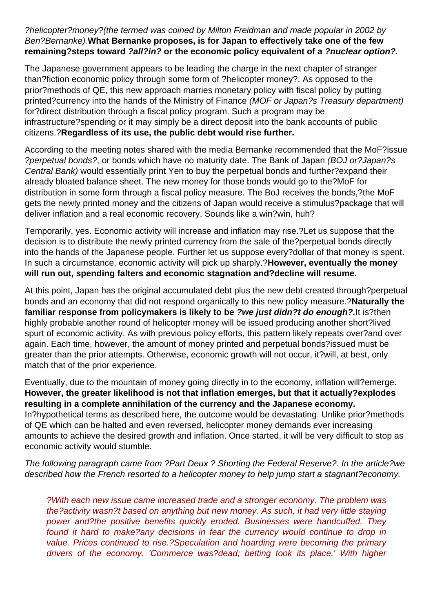#### ?helicopter?money?(the termed was coined by Milton Freidman and made popular in 2002 by Ben?Bernanke).**What Bernanke proposes, is for Japan to effectively take one of the few remaining?steps toward ?all?in? or the economic policy equivalent of a ?nuclear option?.**

The Japanese government appears to be leading the charge in the next chapter of stranger than?fiction economic policy through some form of ?helicopter money?. As opposed to the prior?methods of QE, this new approach marries monetary policy with fiscal policy by putting printed?currency into the hands of the Ministry of Finance (MOF or Japan?s Treasury department) for?direct distribution through a fiscal policy program. Such a program may be infrastructure?spending or it may simply be a direct deposit into the bank accounts of public citizens.?**Regardless of its use, the public debt would rise further.**

According to the meeting notes shared with the media Bernanke recommended that the MoF?issue ?perpetual bonds?, or bonds which have no maturity date. The Bank of Japan (BOJ or?Japan?s Central Bank) would essentially print Yen to buy the perpetual bonds and further?expand their already bloated balance sheet. The new money for those bonds would go to the?MoF for distribution in some form through a fiscal policy measure. The BoJ receives the bonds,?the MoF gets the newly printed money and the citizens of Japan would receive a stimulus?package that will deliver inflation and a real economic recovery. Sounds like a win?win, huh?

Temporarily, yes. Economic activity will increase and inflation may rise.?Let us suppose that the decision is to distribute the newly printed currency from the sale of the?perpetual bonds directly into the hands of the Japanese people. Further let us suppose every?dollar of that money is spent. In such a circumstance, economic activity will pick up sharply.?**However, eventually the money will run out, spending falters and economic stagnation and?decline will resume.**

At this point, Japan has the original accumulated debt plus the new debt created through?perpetual bonds and an economy that did not respond organically to this new policy measure.?**Naturally the familiar response from policymakers is likely to be ?we just didn?t do enough?.**It is?then highly probable another round of helicopter money will be issued producing another short?lived spurt of economic activity. As with previous policy efforts, this pattern likely repeats over?and over again. Each time, however, the amount of money printed and perpetual bonds?issued must be greater than the prior attempts. Otherwise, economic growth will not occur, it?will, at best, only match that of the prior experience.

Eventually, due to the mountain of money going directly in to the economy, inflation will?emerge. **However, the greater likelihood is not that inflation emerges, but that it actually?explodes resulting in a complete annihilation of the currency and the Japanese economy.** In?hypothetical terms as described here, the outcome would be devastating. Unlike prior?methods of QE which can be halted and even reversed, helicopter money demands ever increasing amounts to achieve the desired growth and inflation. Once started, it will be very difficult to stop as economic activity would stumble.

The following paragraph came from ?Part Deux ? Shorting the Federal Reserve?. In the article?we described how the French resorted to a helicopter money to help jump start a stagnant?economy.

?With each new issue came increased trade and a stronger economy. The problem was the?activity wasn?t based on anything but new money. As such, it had very little staying power and?the positive benefits quickly eroded. Businesses were handcuffed. They found it hard to make?any decisions in fear the currency would continue to drop in value. Prices continued to rise.?Speculation and hoarding were becoming the primary drivers of the economy. 'Commerce was?dead; betting took its place.' With higher